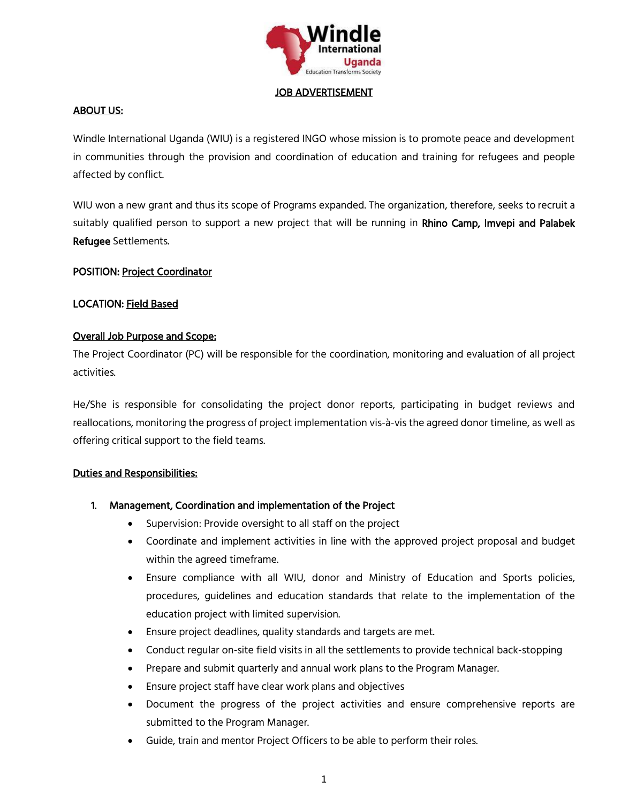

#### JOB ADVERTISEMENT

### ABOUT US:

Windle International Uganda (WIU) is a registered INGO whose mission is to promote peace and development in communities through the provision and coordination of education and training for refugees and people affected by conflict.

WIU won a new grant and thus its scope of Programs expanded. The organization, therefore, seeks to recruit a suitably qualified person to support a new project that will be running in Rhino Camp, Imvepi and Palabek Refugee Settlements.

### POSITION: Project Coordinator

### LOCATION: Field Based

#### Overall Job Purpose and Scope:

The Project Coordinator (PC) will be responsible for the coordination, monitoring and evaluation of all project activities.

He/She is responsible for consolidating the project donor reports, participating in budget reviews and reallocations, monitoring the progress of project implementation vis-à-vis the agreed donor timeline, as well as offering critical support to the field teams.

#### Duties and Responsibilities:

- 1. Management, Coordination and implementation of the Project
	- Supervision: Provide oversight to all staff on the project
	- Coordinate and implement activities in line with the approved project proposal and budget within the agreed timeframe.
	- Ensure compliance with all WIU, donor and Ministry of Education and Sports policies, procedures, guidelines and education standards that relate to the implementation of the education project with limited supervision.
	- Ensure project deadlines, quality standards and targets are met.
	- Conduct regular on-site field visits in all the settlements to provide technical back-stopping
	- Prepare and submit quarterly and annual work plans to the Program Manager.
	- Ensure project staff have clear work plans and objectives
	- Document the progress of the project activities and ensure comprehensive reports are submitted to the Program Manager.
	- Guide, train and mentor Project Officers to be able to perform their roles.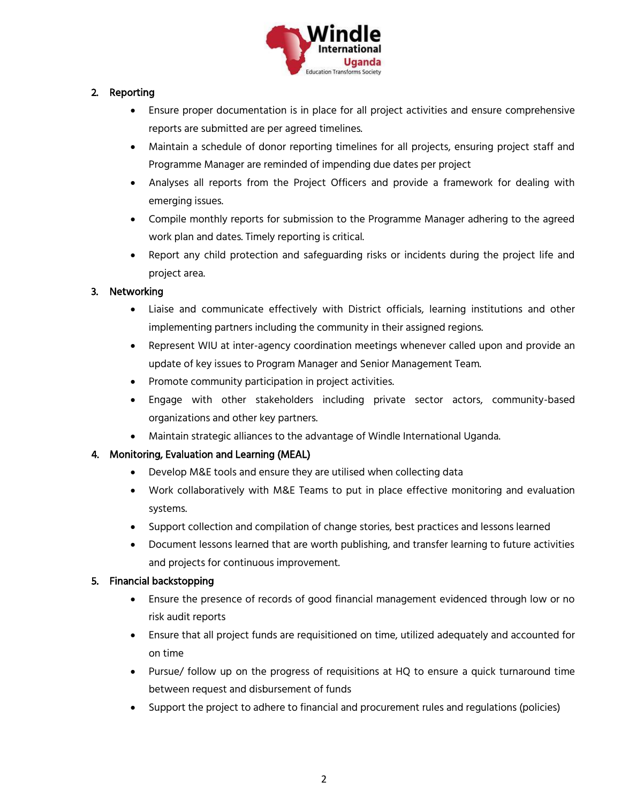

# 2. Reporting

- Ensure proper documentation is in place for all project activities and ensure comprehensive reports are submitted are per agreed timelines.
- Maintain a schedule of donor reporting timelines for all projects, ensuring project staff and Programme Manager are reminded of impending due dates per project
- Analyses all reports from the Project Officers and provide a framework for dealing with emerging issues.
- Compile monthly reports for submission to the Programme Manager adhering to the agreed work plan and dates. Timely reporting is critical.
- Report any child protection and safeguarding risks or incidents during the project life and project area.

# 3. Networking

- Liaise and communicate effectively with District officials, learning institutions and other implementing partners including the community in their assigned regions.
- Represent WIU at inter-agency coordination meetings whenever called upon and provide an update of key issues to Program Manager and Senior Management Team.
- Promote community participation in project activities.
- Engage with other stakeholders including private sector actors, community-based organizations and other key partners.
- Maintain strategic alliances to the advantage of Windle International Uganda.

## 4. Monitoring, Evaluation and Learning (MEAL)

- Develop M&E tools and ensure they are utilised when collecting data
- Work collaboratively with M&E Teams to put in place effective monitoring and evaluation systems.
- Support collection and compilation of change stories, best practices and lessons learned
- Document lessons learned that are worth publishing, and transfer learning to future activities and projects for continuous improvement.

## 5. Financial backstopping

- Ensure the presence of records of good financial management evidenced through low or no risk audit reports
- Ensure that all project funds are requisitioned on time, utilized adequately and accounted for on time
- Pursue/ follow up on the progress of requisitions at HQ to ensure a quick turnaround time between request and disbursement of funds
- Support the project to adhere to financial and procurement rules and regulations (policies)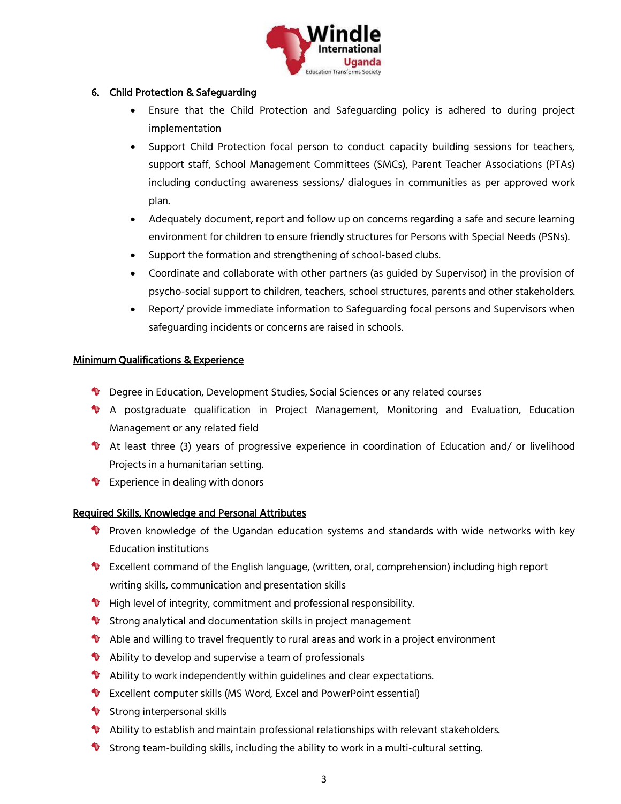

# 6. Child Protection & Safeguarding

- Ensure that the Child Protection and Safeguarding policy is adhered to during project implementation
- Support Child Protection focal person to conduct capacity building sessions for teachers, support staff, School Management Committees (SMCs), Parent Teacher Associations (PTAs) including conducting awareness sessions/ dialogues in communities as per approved work plan.
- Adequately document, report and follow up on concerns regarding a safe and secure learning environment for children to ensure friendly structures for Persons with Special Needs (PSNs).
- Support the formation and strengthening of school-based clubs.
- Coordinate and collaborate with other partners (as guided by Supervisor) in the provision of psycho-social support to children, teachers, school structures, parents and other stakeholders.
- Report/ provide immediate information to Safeguarding focal persons and Supervisors when safeguarding incidents or concerns are raised in schools.

## Minimum Qualifications & Experience

- **1** Degree in Education, Development Studies, Social Sciences or any related courses
- A postgraduate qualification in Project Management, Monitoring and Evaluation, Education Management or any related field
- At least three (3) years of progressive experience in coordination of Education and/ or livelihood Projects in a humanitarian setting.
- $\bullet$  Experience in dealing with donors

## Required Skills, Knowledge and Personal Attributes

- **Proven knowledge of the Ugandan education systems and standards with wide networks with key** Education institutions
- Excellent command of the English language, (written, oral, comprehension) including high report writing skills, communication and presentation skills
- $\bullet$  High level of integrity, commitment and professional responsibility.
- Strong analytical and documentation skills in project management
- Able and willing to travel frequently to rural areas and work in a project environment
- $\bullet$  Ability to develop and supervise a team of professionals
- $\bullet$  Ability to work independently within guidelines and clear expectations.
- Excellent computer skills (MS Word, Excel and PowerPoint essential)
- Strong interpersonal skills
- Ability to establish and maintain professional relationships with relevant stakeholders.
- Strong team-building skills, including the ability to work in a multi-cultural setting.